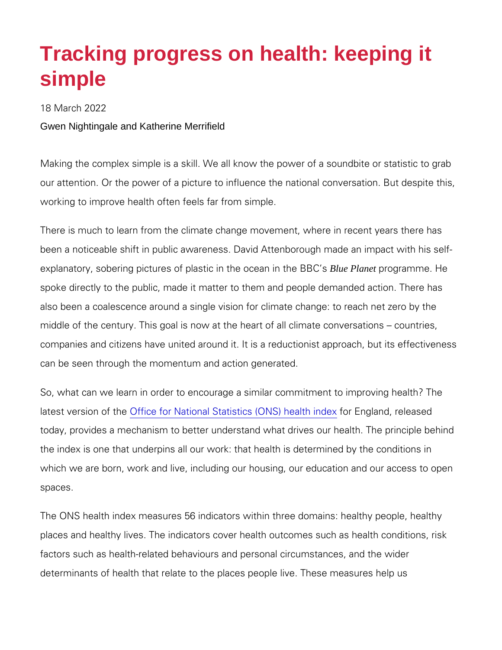## Tracking progress on health: keeping it simple

18 March 2022 Gwen Nightingale and Katherine Merrifield

Making the complex simple is a skill. We all know the power of a our attention. Or the power of a picture to influence the national working to improve health often feels far from simple.

There is much to learn from the climate change movement, where been a noticeable shift in public awareness. David Attenborough explanatory, sobering pictures of plastic Blue Phaeaetopcreoagnainm nahee BBC spoke directly to the public, made it matter to them and people demanded also been a coalescence around a single vision for climate chang middle of the century. This goal is now at the heart of all climate companies and citizens have united around it. It is a reductionist can be seen through the momentum and action generated.

So, what can we learn in order to encourage a similar commitmen latest versionO fofficten efor National Statistics (fOoNNE)ngleaanth ine-deeaxsed today, provides a mechanism to better understand what drives our the index is one that underpins all our work: that health is detern which we are born, work and live, including our housing, our educ spaces.

The ONS health index measures 56 indicators within three domain places and healthy lives. The indicators cover health outcomes su factors such as health-related behaviours and personal circumsta determinants of health that relate to the places people live. Thes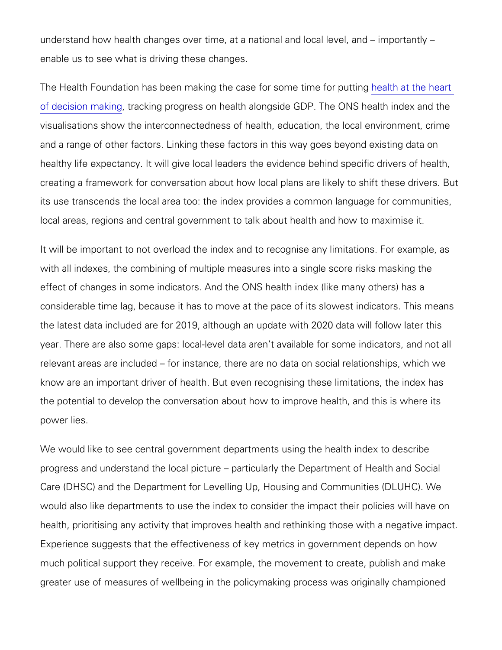understand how health changes over time, at a national and local enable us to see what is driving these changes.

The Health Foundation has been making the cashee abtrh soumtch eimeafrom [of decision](https://health.org.uk/publications/reports/a-whole-government-approach-to-improving-health) markain algo progress on health alongside GDP. The ONS visualisations show the interconnectedness of health, education, and a range of other factors. Linking these factors in this way go healthy life expectancy. It will give local leaders the evidence be creating a framework for conversation about how local plans are I its use transcends the local area too: the index provides a commo local areas, regions and central government to talk about health and  $\alpha$ 

It will be important to not overload the index and to recognise an with all indexes, the combining of multiple measures into a single effect of changes in some indicators. And the ONS health index (I considerable time lag, because it has to move at the pace of its s the latest data included are for 2019, although an update with 20 year. There are also some gaps: local-level data aren t available relevant areas are included for instance, there are no data on s know are an important driver of health. But even recognising thes the potential to develop the conversation about how to improve health power lies.

We would like to see central government departments using the  $h_1$ progress and understand the local picture particularly the Depart Care (DHSC) and the Department for Levelling Up, Housing and C would also like departments to use the index to consider the impa health, prioritising any activity that improves health and rethinkin Experience suggests that the effectiveness of key metrics in gove much political support they receive. For example, the movement t greater use of measures of wellbeing in the policymaking process